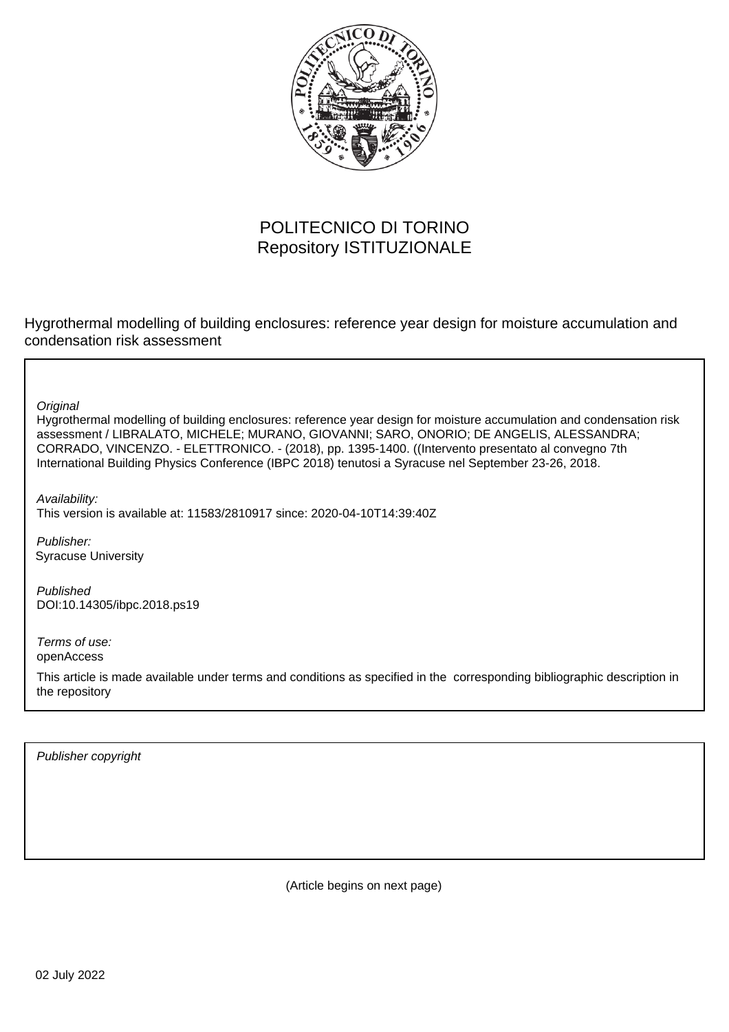

## POLITECNICO DI TORINO Repository ISTITUZIONALE

Hygrothermal modelling of building enclosures: reference year design for moisture accumulation and condensation risk assessment

**Original** 

Hygrothermal modelling of building enclosures: reference year design for moisture accumulation and condensation risk assessment / LIBRALATO, MICHELE; MURANO, GIOVANNI; SARO, ONORIO; DE ANGELIS, ALESSANDRA; CORRADO, VINCENZO. - ELETTRONICO. - (2018), pp. 1395-1400. ((Intervento presentato al convegno 7th International Building Physics Conference (IBPC 2018) tenutosi a Syracuse nel September 23-26, 2018.

Availability:

This version is available at: 11583/2810917 since: 2020-04-10T14:39:40Z

Publisher: Syracuse University

Published DOI:10.14305/ibpc.2018.ps19

Terms of use: openAccess

This article is made available under terms and conditions as specified in the corresponding bibliographic description in the repository

Publisher copyright

(Article begins on next page)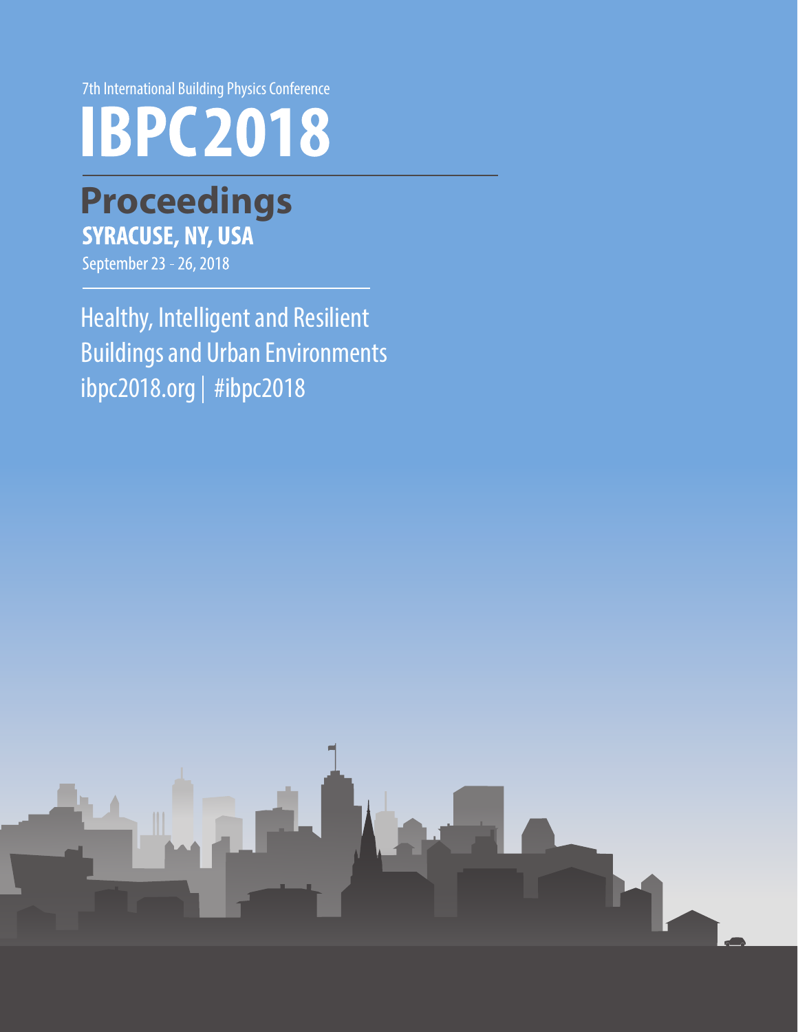7th International Building Physics Conference



# **Proceedings**

September 23 - 26, 2018

Healthy, Intelligent and Resilient Buildings and Urban Environments  $ibpc2018.org \mid \#ibpc2018$ 

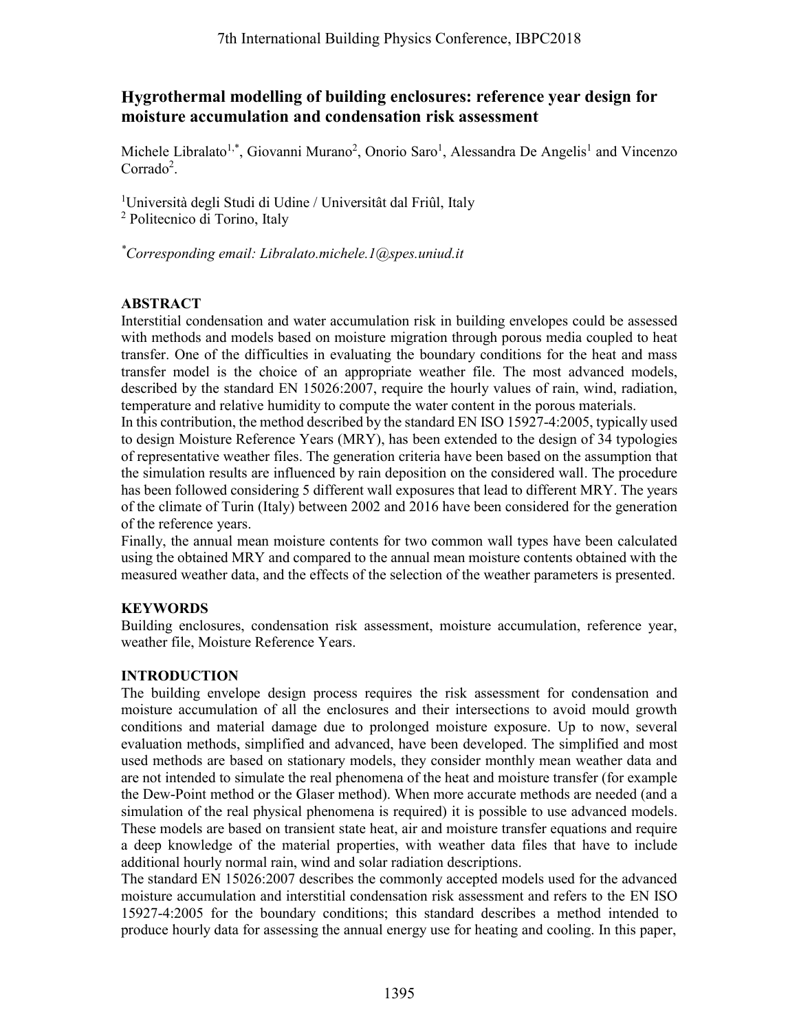## **Hygrothermal modelling of building enclosures: reference year design for moisture accumulation and condensation risk assessment**

Michele Libralato<sup>1,\*</sup>, Giovanni Murano<sup>2</sup>, Onorio Saro<sup>1</sup>, Alessandra De Angelis<sup>1</sup> and Vincenzo  $Corrado<sup>2</sup>$ .

<sup>1</sup>Università degli Studi di Udine / Universitât dal Friûl, Italy <sup>2</sup> Politecnico di Torino, Italy

*\*Corresponding email: Libralato.michele.1@spes.uniud.it*

## **ABSTRACT**

Interstitial condensation and water accumulation risk in building envelopes could be assessed with methods and models based on moisture migration through porous media coupled to heat transfer. One of the difficulties in evaluating the boundary conditions for the heat and mass transfer model is the choice of an appropriate weather file. The most advanced models, described by the standard EN 15026:2007, require the hourly values of rain, wind, radiation, temperature and relative humidity to compute the water content in the porous materials.

In this contribution, the method described by the standard EN ISO 15927-4:2005, typically used to design Moisture Reference Years (MRY), has been extended to the design of 34 typologies of representative weather files. The generation criteria have been based on the assumption that the simulation results are influenced by rain deposition on the considered wall. The procedure has been followed considering 5 different wall exposures that lead to different MRY. The years of the climate of Turin (Italy) between 2002 and 2016 have been considered for the generation of the reference years.

Finally, the annual mean moisture contents for two common wall types have been calculated using the obtained MRY and compared to the annual mean moisture contents obtained with the measured weather data, and the effects of the selection of the weather parameters is presented.

## **KEYWORDS**

Building enclosures, condensation risk assessment, moisture accumulation, reference year, weather file, Moisture Reference Years.

### **INTRODUCTION**

The building envelope design process requires the risk assessment for condensation and moisture accumulation of all the enclosures and their intersections to avoid mould growth conditions and material damage due to prolonged moisture exposure. Up to now, several evaluation methods, simplified and advanced, have been developed. The simplified and most used methods are based on stationary models, they consider monthly mean weather data and are not intended to simulate the real phenomena of the heat and moisture transfer (for example the Dew-Point method or the Glaser method). When more accurate methods are needed (and a simulation of the real physical phenomena is required) it is possible to use advanced models. These models are based on transient state heat, air and moisture transfer equations and require a deep knowledge of the material properties, with weather data files that have to include additional hourly normal rain, wind and solar radiation descriptions. 7th International Building Physics Conference, IBPC2018<br>
11 modelling of building enclosures: reference year<br>
unualation and condensation risk assessment<br>
to<sup>1,2</sup>. Giovanni Murano<sup>2</sup>, Onorio Saro<sup>1</sup>, Alessandra De Angeli<br>

The standard EN 15026:2007 describes the commonly accepted models used for the advanced moisture accumulation and interstitial condensation risk assessment and refers to the EN ISO 15927-4:2005 for the boundary conditions; this standard describes a method intended to produce hourly data for assessing the annual energy use for heating and cooling. In this paper,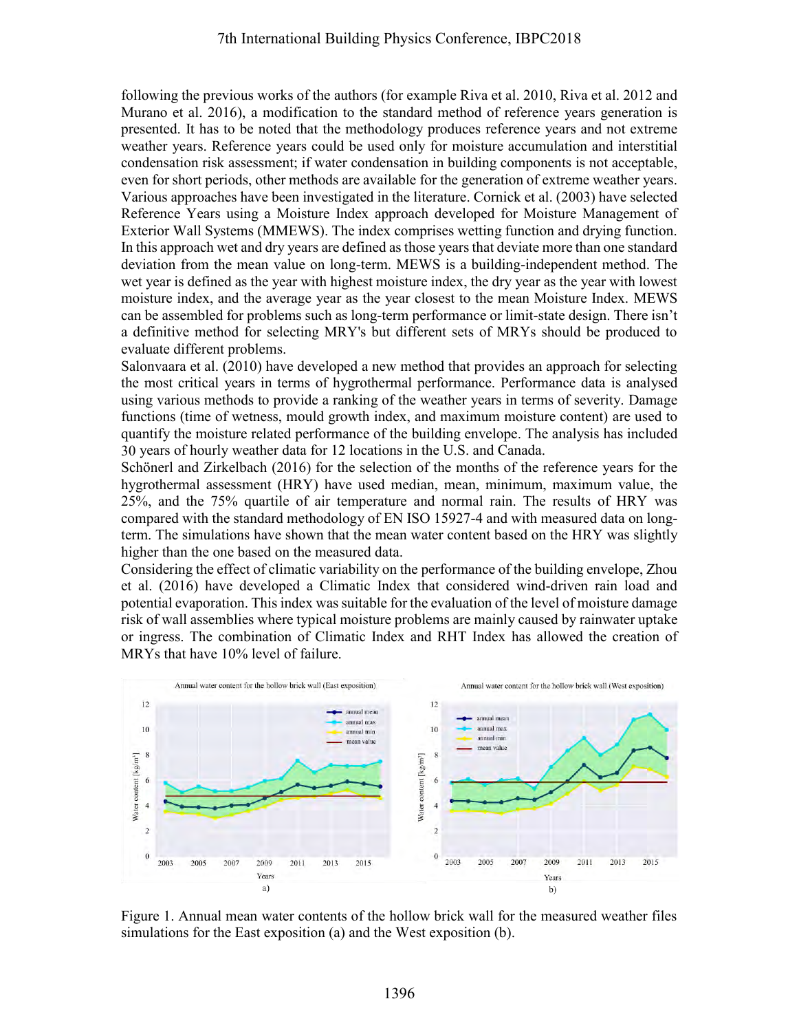following the previous works of the authors (for example Riva et al. 2010, Riva et al. 2012 and Murano et al. 2016), a modification to the standard method of reference years generation is presented. It has to be noted that the methodology produces reference years and not extreme weather years. Reference years could be used only for moisture accumulation and interstitial condensation risk assessment; if water condensation in building components is not acceptable, even for short periods, other methods are available for the generation of extreme weather years. Various approaches have been investigated in the literature. Cornick et al. (2003) have selected Reference Years using a Moisture Index approach developed for Moisture Management of Exterior Wall Systems (MMEWS). The index comprises wetting function and drying function. In this approach wet and dry years are defined as those years that deviate more than one standard deviation from the mean value on long-term. MEWS is a building-independent method. The wet year is defined as the year with highest moisture index, the dry year as the year with lowest moisture index, and the average year as the year closest to the mean Moisture Index. MEWS can be assembled for problems such as long-term performance or limit-state design. There isn't a definitive method for selecting MRY's but different sets of MRYs should be produced to evaluate different problems. 7th International Building Physics Conference, IBPC2018<br>
Evious works of the authors (for example Riva et al. 2010, Riv<br>
2016), a modification to the standard method of reference years<br>
to the notellooking produces refere

Salonvaara et al. (2010) have developed a new method that provides an approach for selecting the most critical years in terms of hygrothermal performance. Performance data is analysed using various methods to provide a ranking of the weather years in terms of severity. Damage functions (time of wetness, mould growth index, and maximum moisture content) are used to quantify the moisture related performance of the building envelope. The analysis has included 30 years of hourly weather data for 12 locations in the U.S. and Canada.

Schönerl and Zirkelbach (2016) for the selection of the months of the reference years for the hygrothermal assessment (HRY) have used median, mean, minimum, maximum value, the 25%, and the 75% quartile of air temperature and normal rain. The results of HRY was compared with the standard methodology of EN ISO 15927-4 and with measured data on longterm. The simulations have shown that the mean water content based on the HRY was slightly higher than the one based on the measured data.

Considering the effect of climatic variability on the performance of the building envelope, Zhou et al. (2016) have developed a Climatic Index that considered wind-driven rain load and potential evaporation. This index wassuitable for the evaluation of the level of moisture damage risk of wall assemblies where typical moisture problems are mainly caused by rainwater uptake or ingress. The combination of Climatic Index and RHT Index has allowed the creation of MRYs that have 10% level of failure.



Figure 1. Annual mean water contents of the hollow brick wall for the measured weather files simulations for the East exposition (a) and the West exposition (b).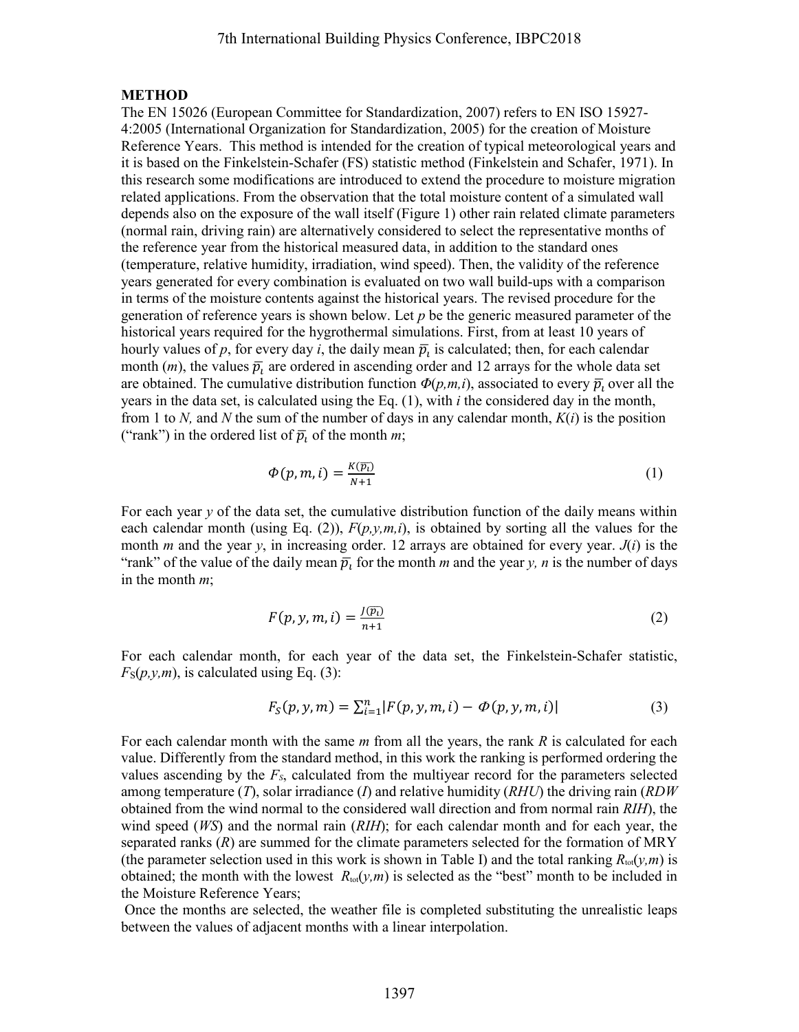#### **METHOD**

The EN 15026 (European Committee for Standardization, 2007) refers to EN ISO 15927- 4:2005 (International Organization for Standardization, 2005) for the creation of Moisture Reference Years. This method is intended for the creation of typical meteorological years and it is based on the Finkelstein-Schafer (FS) statistic method (Finkelstein and Schafer, 1971). In this research some modifications are introduced to extend the procedure to moisture migration related applications. From the observation that the total moisture content of a simulated wall depends also on the exposure of the wall itself (Figure 1) other rain related climate parameters (normal rain, driving rain) are alternatively considered to select the representative months of the reference year from the historical measured data, in addition to the standard ones (temperature, relative humidity, irradiation, wind speed). Then, the validity of the reference years generated for every combination is evaluated on two wall build-ups with a comparison in terms of the moisture contents against the historical years. The revised procedure for the generation of reference years is shown below. Let *p* be the generic measured parameter of the historical years required for the hygrothermal simulations. First, from at least 10 years of hourly values of  $p$ , for every day  $i$ , the daily mean  $\bar{p}_i$  is calculated; then, for each calendar month  $(m)$ , the values  $\bar{p}$ , are ordered in ascending order and 12 arrays for the whole data set are obtained. The cumulative distribution function  $\Phi(p,m,i)$ , associated to every  $\bar{p}_i$ , over all the years in the data set, is calculated using the Eq. (1), with *i* the considered day in the month, from 1 to *N,* and *N* the sum of the number of days in any calendar month, *K*(*i*) is the position ("rank") in the ordered list of  $\bar{p}_i$  of the month *m*; 7th International Building Physics Conference, IBPC2018<br>European Committee for Standardization, 2007) refers to EN<br>
European Committee for Standardization, 2007) or the creation<br>
. This method is interaded for the creatio

$$
\Phi(p,m,i) = \frac{K(\overline{p_i})}{N+1} \tag{1}
$$

For each year *y* of the data set, the cumulative distribution function of the daily means within each calendar month (using Eq. (2)),  $F(p, y, m, i)$ , is obtained by sorting all the values for the month *m* and the year *y*, in increasing order. 12 arrays are obtained for every year. *J*(*i*) is the "rank" of the value of the daily mean  $\bar{p}_t$  for the month *m* and the year *y*, *n* is the number of days in the month *m*;

$$
F(p, y, m, i) = \frac{J(\overline{p_i})}{n+1}
$$
 (2)

For each calendar month, for each year of the data set, the Finkelstein-Schafer statistic,  $F_S(p, y, m)$ , is calculated using Eq. (3):

$$
F_S(p, y, m) = \sum_{i=1}^n |F(p, y, m, i) - \Phi(p, y, m, i)|
$$
\n(3)

For each calendar month with the same *m* from all the years, the rank *R* is calculated for each value. Differently from the standard method, in this work the ranking is performed ordering the values ascending by the *FS*, calculated from the multiyear record for the parameters selected among temperature (*T*), solar irradiance (*I*) and relative humidity (*RHU*) the driving rain (*RDW*  obtained from the wind normal to the considered wall direction and from normal rain *RIH*), the wind speed (*WS*) and the normal rain (*RIH*); for each calendar month and for each year, the separated ranks (*R*) are summed for the climate parameters selected for the formation of MRY (the parameter selection used in this work is shown in Table I) and the total ranking  $R_{\text{tot}}(\gamma,m)$  is obtained; the month with the lowest  $R_{\text{tot}}(\gamma,m)$  is selected as the "best" month to be included in the Moisture Reference Years;

 Once the months are selected, the weather file is completed substituting the unrealistic leaps between the values of adjacent months with a linear interpolation.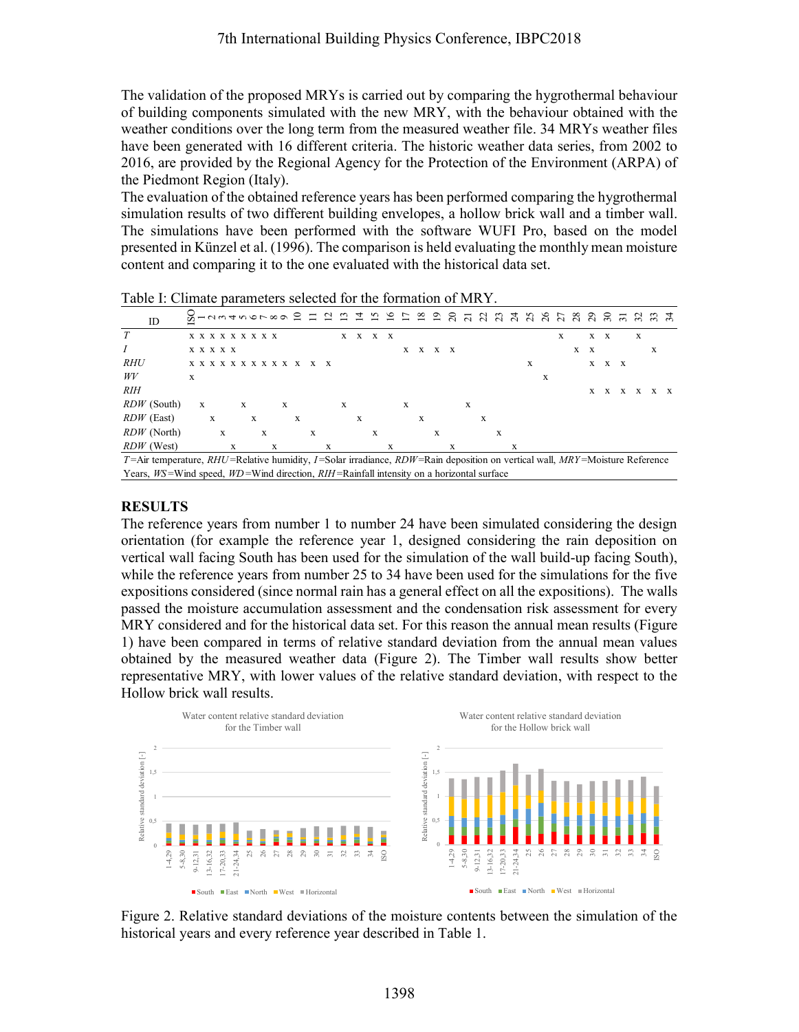The validation of the proposed MRYs is carried out by comparing the hygrothermal behaviour of building components simulated with the new MRY, with the behaviour obtained with the weather conditions over the long term from the measured weather file. 34 MRYs weather files have been generated with 16 different criteria. The historic weather data series, from 2002 to 2016, are provided by the Regional Agency for the Protection of the Environment (ARPA) of the Piedmont Region (Italy).

The evaluation of the obtained reference years has been performed comparing the hygrothermal simulation results of two different building envelopes, a hollow brick wall and a timber wall. The simulations have been performed with the software WUFI Pro, based on the model presented in Künzel et al. (1996). The comparison is held evaluating the monthly mean moisture content and comparing it to the one evaluated with the historical data set.

| ID                                                                                                                            |   |                           |   |   |   |   |   |   |   |   |   |   | ব |   |              |   |   |   |     |   | n n n s n s n s n s s s |   |   |   | $\frac{8}{2}$ | ភនី ក៏ ក្នុង ក្នុង |   |              |     |              |   |     |
|-------------------------------------------------------------------------------------------------------------------------------|---|---------------------------|---|---|---|---|---|---|---|---|---|---|---|---|--------------|---|---|---|-----|---|-------------------------|---|---|---|---------------|--------------------|---|--------------|-----|--------------|---|-----|
|                                                                                                                               |   | <b>x x x x x x x x x</b>  |   |   |   |   |   |   |   |   |   | X | x | X | $\mathbf{x}$ |   |   |   |     |   |                         |   |   |   |               | X                  |   |              | X X | X            |   |     |
|                                                                                                                               |   | <b>X X X X X</b>          |   |   |   |   |   |   |   |   |   |   |   |   |              | X | X |   | X X |   |                         |   |   |   |               |                    | X | $\mathbf{x}$ |     |              | X |     |
| <i>RHU</i>                                                                                                                    |   | X X X X X X X X X X X X X |   |   |   |   |   |   |   |   |   |   |   |   |              |   |   |   |     |   |                         |   |   | X |               |                    |   | X            | X X |              |   |     |
| WV                                                                                                                            | X |                           |   |   |   |   |   |   |   |   |   |   |   |   |              |   |   |   |     |   |                         |   |   |   | x             |                    |   |              |     |              |   |     |
| <i>RIH</i>                                                                                                                    |   |                           |   |   |   |   |   |   |   |   |   |   |   |   |              |   |   |   |     |   |                         |   |   |   |               |                    |   | X            |     | $X \times X$ |   | x x |
| <i>RDW</i> (South)                                                                                                            |   | X                         |   |   | X |   |   | X |   |   |   | X |   |   |              | X |   |   |     | X |                         |   |   |   |               |                    |   |              |     |              |   |     |
| $RDW$ (East)                                                                                                                  |   | X                         |   |   |   | X |   |   | X |   |   |   | X |   |              |   | X |   |     |   | X                       |   |   |   |               |                    |   |              |     |              |   |     |
| $RDW$ (North)                                                                                                                 |   |                           | X |   |   |   | X |   |   | X |   |   |   | X |              |   |   | X |     |   |                         | X |   |   |               |                    |   |              |     |              |   |     |
| $RDW$ (West)                                                                                                                  |   |                           |   | X |   |   |   | X |   |   | X |   |   |   | X            |   |   |   | X   |   |                         |   | X |   |               |                    |   |              |     |              |   |     |
| T=Air temperature, RHU=Relative humidity, I=Solar irradiance, RDW=Rain deposition on vertical wall, $MRY$ =Moisture Reference |   |                           |   |   |   |   |   |   |   |   |   |   |   |   |              |   |   |   |     |   |                         |   |   |   |               |                    |   |              |     |              |   |     |
| Years, $WS=$ Wind speed, $WD=$ Wind direction, $RIH=$ Rainfall intensity on a horizontal surface                              |   |                           |   |   |   |   |   |   |   |   |   |   |   |   |              |   |   |   |     |   |                         |   |   |   |               |                    |   |              |     |              |   |     |

Table I: Climate parameters selected for the formation of MRY.

## **RESULTS**

The reference years from number 1 to number 24 have been simulated considering the design orientation (for example the reference year 1, designed considering the rain deposition on vertical wall facing South has been used for the simulation of the wall build-up facing South), while the reference years from number 25 to 34 have been used for the simulations for the five expositions considered (since normal rain has a general effect on all the expositions). The walls passed the moisture accumulation assessment and the condensation risk assessment for every MRY considered and for the historical data set. For this reason the annual mean results (Figure 1) have been compared in terms of relative standard deviation from the annual mean values obtained by the measured weather data (Figure 2). The Timber wall results show better representative MRY, with lower values of the relative standard deviation, with respect to the Hollow brick wall results.



Figure 2. Relative standard deviations of the moisture contents between the simulation of the historical years and every reference year described in Table 1.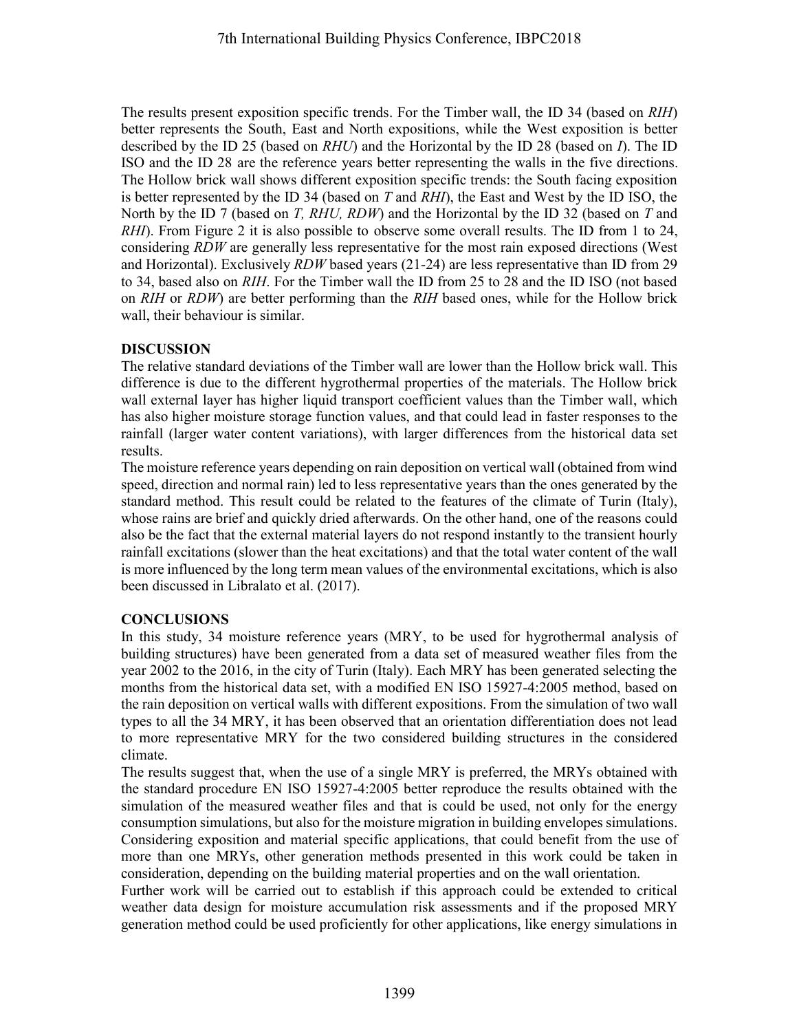The results present exposition specific trends. For the Timber wall, the ID 34 (based on *RIH*) better represents the South, East and North expositions, while the West exposition is better described by the ID 25 (based on *RHU*) and the Horizontal by the ID 28 (based on *I*). The ID ISO and the ID 28 are the reference years better representing the walls in the five directions. The Hollow brick wall shows different exposition specific trends: the South facing exposition is better represented by the ID 34 (based on *T* and *RHI*), the East and West by the ID ISO, the North by the ID 7 (based on *T, RHU, RDW*) and the Horizontal by the ID 32 (based on *T* and *RHI*). From Figure 2 it is also possible to observe some overall results. The ID from 1 to 24, considering *RDW* are generally less representative for the most rain exposed directions (West and Horizontal). Exclusively *RDW* based years (21-24) are less representative than ID from 29 to 34, based also on *RIH*. For the Timber wall the ID from 25 to 28 and the ID ISO (not based on *RIH* or *RDW*) are better performing than the *RIH* based ones, while for the Hollow brick wall, their behaviour is similar. 7th International Building Physics Conference, IBPC2018<br>
can exposition specific trends. For the Timber wall, the ID 34<br>
the South, East and Notch expositions, while the West exp.<br>
ID 25 (based on *RHU*) and the Horizonal

## **DISCUSSION**

The relative standard deviations of the Timber wall are lower than the Hollow brick wall. This difference is due to the different hygrothermal properties of the materials. The Hollow brick wall external layer has higher liquid transport coefficient values than the Timber wall, which has also higher moisture storage function values, and that could lead in faster responses to the rainfall (larger water content variations), with larger differences from the historical data set results.

The moisture reference years depending on rain deposition on vertical wall (obtained from wind speed, direction and normal rain) led to less representative years than the ones generated by the standard method. This result could be related to the features of the climate of Turin (Italy), whose rains are brief and quickly dried afterwards. On the other hand, one of the reasons could also be the fact that the external material layers do not respond instantly to the transient hourly rainfall excitations (slower than the heat excitations) and that the total water content of the wall is more influenced by the long term mean values of the environmental excitations, which is also been discussed in Libralato et al. (2017).

## **CONCLUSIONS**

In this study, 34 moisture reference years (MRY, to be used for hygrothermal analysis of building structures) have been generated from a data set of measured weather files from the year 2002 to the 2016, in the city of Turin (Italy). Each MRY has been generated selecting the months from the historical data set, with a modified EN ISO 15927-4:2005 method, based on the rain deposition on vertical walls with different expositions. From the simulation of two wall types to all the 34 MRY, it has been observed that an orientation differentiation does not lead to more representative MRY for the two considered building structures in the considered climate.

The results suggest that, when the use of a single MRY is preferred, the MRYs obtained with the standard procedure EN ISO 15927-4:2005 better reproduce the results obtained with the simulation of the measured weather files and that is could be used, not only for the energy consumption simulations, but also for the moisture migration in building envelopes simulations. Considering exposition and material specific applications, that could benefit from the use of more than one MRYs, other generation methods presented in this work could be taken in consideration, depending on the building material properties and on the wall orientation.

Further work will be carried out to establish if this approach could be extended to critical weather data design for moisture accumulation risk assessments and if the proposed MRY generation method could be used proficiently for other applications, like energy simulations in